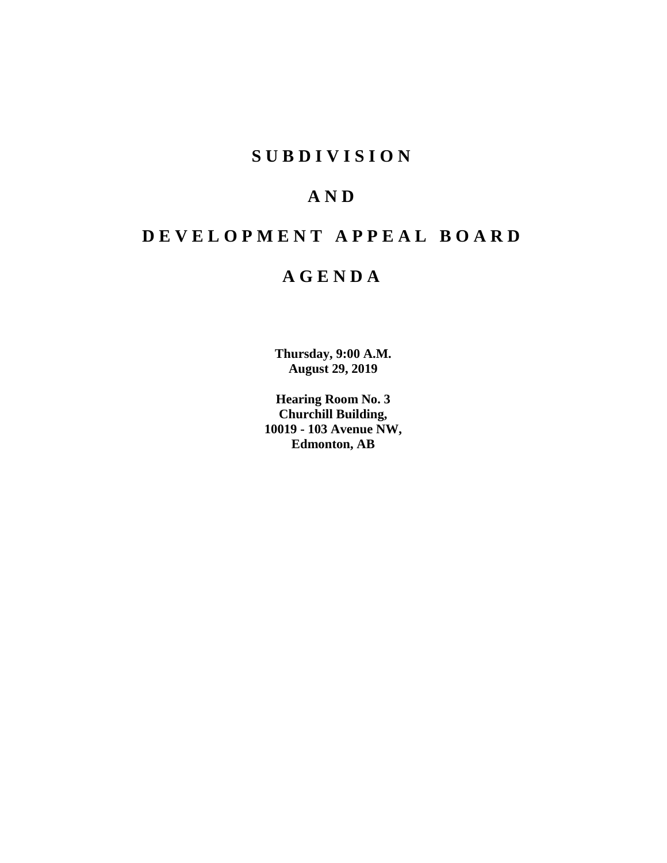# **SUBDIVISION**

# **AND**

# **DEVELOPMENT APPEAL BOARD**

# **AGENDA**

**Thursday, 9:00 A.M. August 29, 2019**

**Hearing Room No. 3 Churchill Building, 10019 - 103 Avenue NW, Edmonton, AB**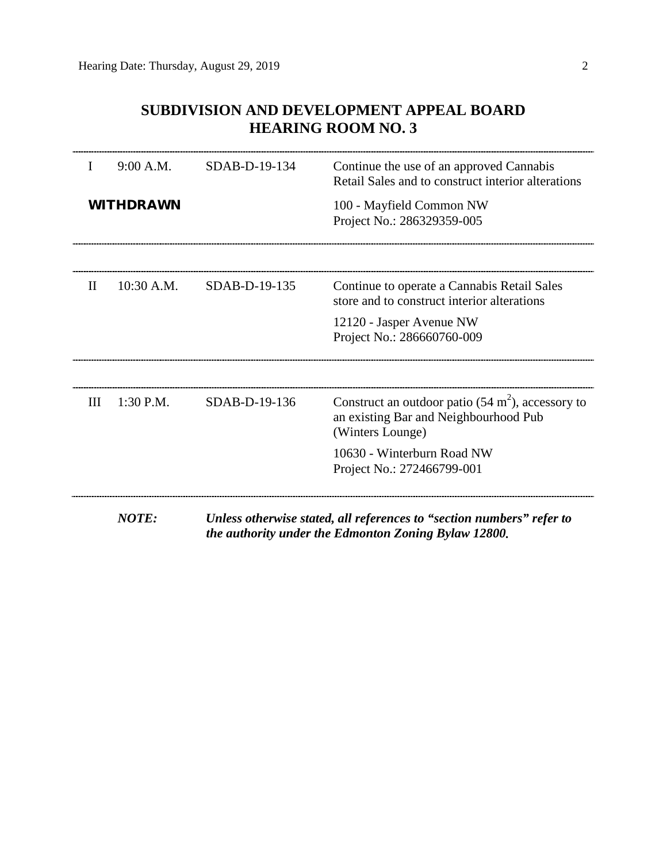# **SUBDIVISION AND DEVELOPMENT APPEAL BOARD HEARING ROOM NO. 3**

| L<br>$\mathbf{H}$ |                  |               |                                                                                                |  |  |
|-------------------|------------------|---------------|------------------------------------------------------------------------------------------------|--|--|
|                   | 9:00 A.M.        | SDAB-D-19-134 | Continue the use of an approved Cannabis<br>Retail Sales and to construct interior alterations |  |  |
|                   | <b>WITHDRAWN</b> |               | 100 - Mayfield Common NW<br>Project No.: 286329359-005                                         |  |  |
|                   |                  |               |                                                                                                |  |  |
|                   | $10:30$ A.M.     | SDAB-D-19-135 | Continue to operate a Cannabis Retail Sales<br>store and to construct interior alterations     |  |  |
|                   |                  |               | 12120 - Jasper Avenue NW<br>Project No.: 286660760-009                                         |  |  |
| Ш                 | 1:30 P.M.        | SDAB-D-19-136 | Construct an outdoor patio $(54 \text{ m}^2)$ , accessory to                                   |  |  |
|                   |                  |               | an existing Bar and Neighbourhood Pub<br>(Winters Lounge)                                      |  |  |
|                   |                  |               | 10630 - Winterburn Road NW<br>Project No.: 272466799-001                                       |  |  |
|                   | <b>NOTE:</b>     |               | Unless otherwise stated, all references to "section numbers" refer to                          |  |  |

*the authority under the Edmonton Zoning Bylaw 12800.*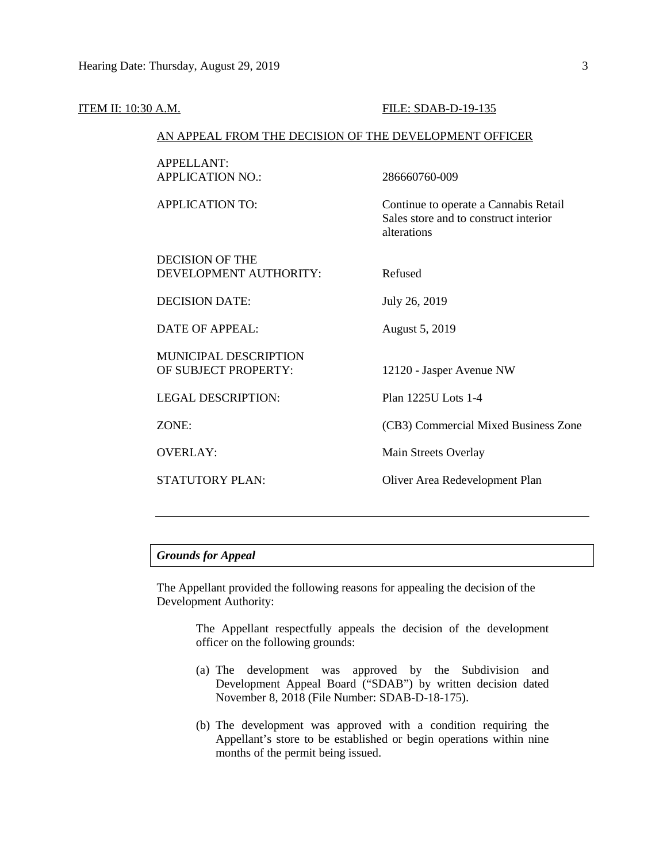| <u>ITEM II: 10:30 A.M.</u> |                                                        | FILE: SDAB-D-19-135                                                                           |  |  |
|----------------------------|--------------------------------------------------------|-----------------------------------------------------------------------------------------------|--|--|
|                            | AN APPEAL FROM THE DECISION OF THE DEVELOPMENT OFFICER |                                                                                               |  |  |
|                            | <b>APPELLANT:</b><br><b>APPLICATION NO.:</b>           | 286660760-009                                                                                 |  |  |
|                            | <b>APPLICATION TO:</b>                                 | Continue to operate a Cannabis Retail<br>Sales store and to construct interior<br>alterations |  |  |
|                            | <b>DECISION OF THE</b><br>DEVELOPMENT AUTHORITY:       | Refused                                                                                       |  |  |
|                            | <b>DECISION DATE:</b>                                  | July 26, 2019                                                                                 |  |  |
|                            | <b>DATE OF APPEAL:</b>                                 | August 5, 2019                                                                                |  |  |
|                            | MUNICIPAL DESCRIPTION<br>OF SUBJECT PROPERTY:          | 12120 - Jasper Avenue NW                                                                      |  |  |
|                            | <b>LEGAL DESCRIPTION:</b>                              | Plan 1225U Lots 1-4                                                                           |  |  |
|                            | ZONE:                                                  | (CB3) Commercial Mixed Business Zone                                                          |  |  |
|                            | <b>OVERLAY:</b>                                        | Main Streets Overlay                                                                          |  |  |
|                            | STATUTORY PLAN:                                        | Oliver Area Redevelopment Plan                                                                |  |  |
|                            |                                                        |                                                                                               |  |  |

# *Grounds for Appeal*

The Appellant provided the following reasons for appealing the decision of the Development Authority:

> The Appellant respectfully appeals the decision of the development officer on the following grounds:

- (a) The development was approved by the Subdivision and Development Appeal Board ("SDAB") by written decision dated November 8, 2018 (File Number: SDAB-D-18-175).
- (b) The development was approved with a condition requiring the Appellant's store to be established or begin operations within nine months of the permit being issued.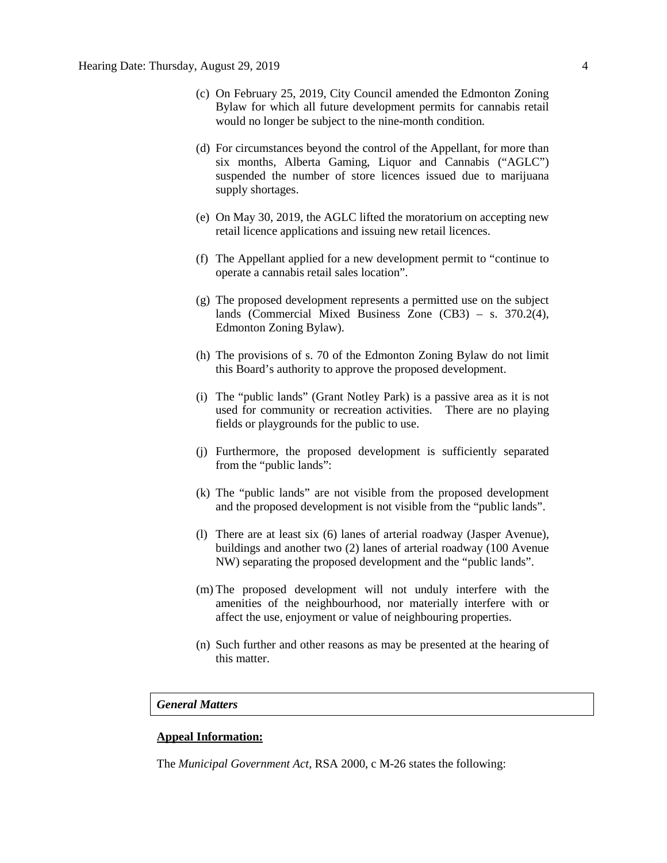- (c) On February 25, 2019, City Council amended the Edmonton Zoning Bylaw for which all future development permits for cannabis retail would no longer be subject to the nine-month condition.
- (d) For circumstances beyond the control of the Appellant, for more than six months, Alberta Gaming, Liquor and Cannabis ("AGLC") suspended the number of store licences issued due to marijuana supply shortages.
- (e) On May 30, 2019, the AGLC lifted the moratorium on accepting new retail licence applications and issuing new retail licences.
- (f) The Appellant applied for a new development permit to "continue to operate a cannabis retail sales location".
- (g) The proposed development represents a permitted use on the subject lands (Commercial Mixed Business Zone (CB3) – s. 370.2(4), Edmonton Zoning Bylaw).
- (h) The provisions of s. 70 of the Edmonton Zoning Bylaw do not limit this Board's authority to approve the proposed development.
- (i) The "public lands" (Grant Notley Park) is a passive area as it is not used for community or recreation activities. There are no playing fields or playgrounds for the public to use.
- (j) Furthermore, the proposed development is sufficiently separated from the "public lands":
- (k) The "public lands" are not visible from the proposed development and the proposed development is not visible from the "public lands".
- (l) There are at least six (6) lanes of arterial roadway (Jasper Avenue), buildings and another two (2) lanes of arterial roadway (100 Avenue NW) separating the proposed development and the "public lands".
- (m) The proposed development will not unduly interfere with the amenities of the neighbourhood, nor materially interfere with or affect the use, enjoyment or value of neighbouring properties.
- (n) Such further and other reasons as may be presented at the hearing of this matter.

### *General Matters*

## **Appeal Information:**

The *Municipal Government Act*, RSA 2000, c M-26 states the following: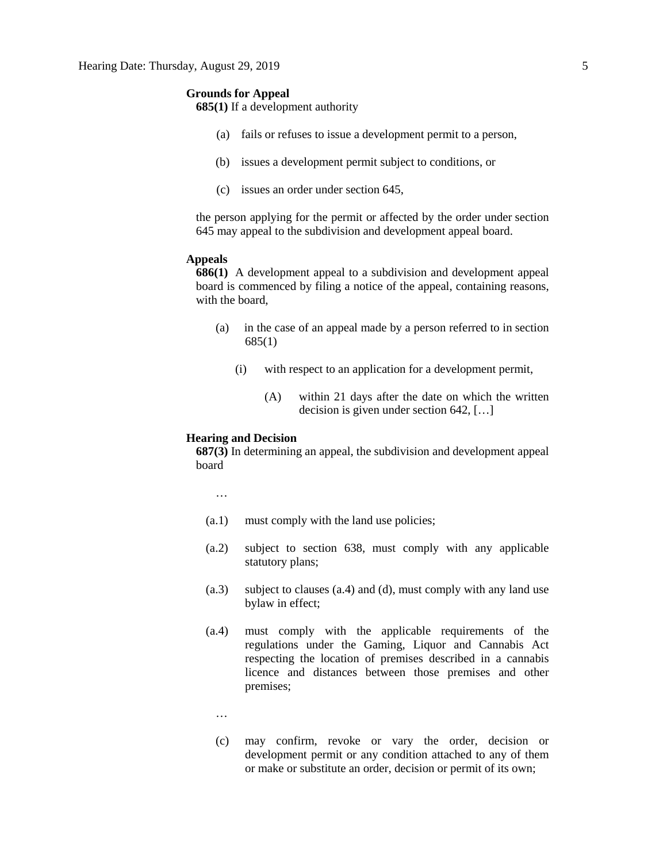# **Grounds for Appeal**

**685(1)** If a development authority

- (a) fails or refuses to issue a development permit to a person,
- (b) issues a development permit subject to conditions, or
- (c) issues an order under section 645,

the person applying for the permit or affected by the order under section 645 may appeal to the subdivision and development appeal board.

### **Appeals**

**686(1)** A development appeal to a subdivision and development appeal board is commenced by filing a notice of the appeal, containing reasons, with the board,

- (a) in the case of an appeal made by a person referred to in section 685(1)
	- (i) with respect to an application for a development permit,
		- (A) within 21 days after the date on which the written decision is given under section 642, […]

# **Hearing and Decision**

**687(3)** In determining an appeal, the subdivision and development appeal board

…

- (a.1) must comply with the land use policies;
- (a.2) subject to section 638, must comply with any applicable statutory plans;
- (a.3) subject to clauses (a.4) and (d), must comply with any land use bylaw in effect;
- (a.4) must comply with the applicable requirements of the regulations under the Gaming, Liquor and Cannabis Act respecting the location of premises described in a cannabis licence and distances between those premises and other premises;
	- …
	- (c) may confirm, revoke or vary the order, decision or development permit or any condition attached to any of them or make or substitute an order, decision or permit of its own;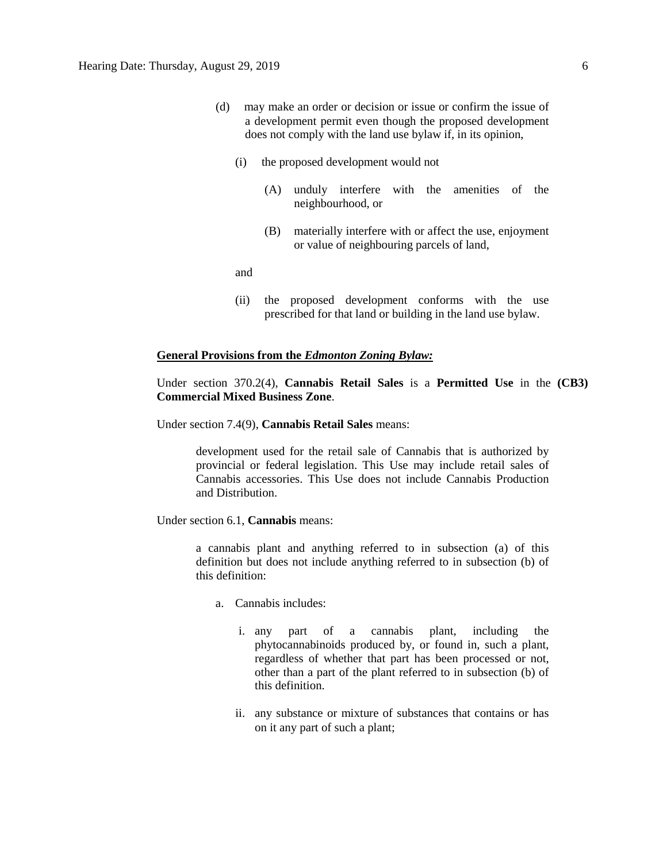- (d) may make an order or decision or issue or confirm the issue of a development permit even though the proposed development does not comply with the land use bylaw if, in its opinion,
	- (i) the proposed development would not
		- (A) unduly interfere with the amenities of the neighbourhood, or
		- (B) materially interfere with or affect the use, enjoyment or value of neighbouring parcels of land,

and

(ii) the proposed development conforms with the use prescribed for that land or building in the land use bylaw.

# **General Provisions from the** *Edmonton Zoning Bylaw:*

Under section 370.2(4), **Cannabis Retail Sales** is a **Permitted Use** in the **(CB3) Commercial Mixed Business Zone**.

Under section 7.4(9), **Cannabis Retail Sales** means:

development used for the retail sale of Cannabis that is authorized by provincial or federal legislation. This Use may include retail sales of Cannabis accessories. This Use does not include Cannabis Production and Distribution.

Under section 6.1, **Cannabis** means:

a cannabis plant and anything referred to in subsection (a) of this definition but does not include anything referred to in subsection (b) of this definition:

- a. Cannabis includes:
	- i. any part of a cannabis plant, including the phytocannabinoids produced by, or found in, such a plant, regardless of whether that part has been processed or not, other than a part of the plant referred to in subsection (b) of this definition.
	- ii. any substance or mixture of substances that contains or has on it any part of such a plant;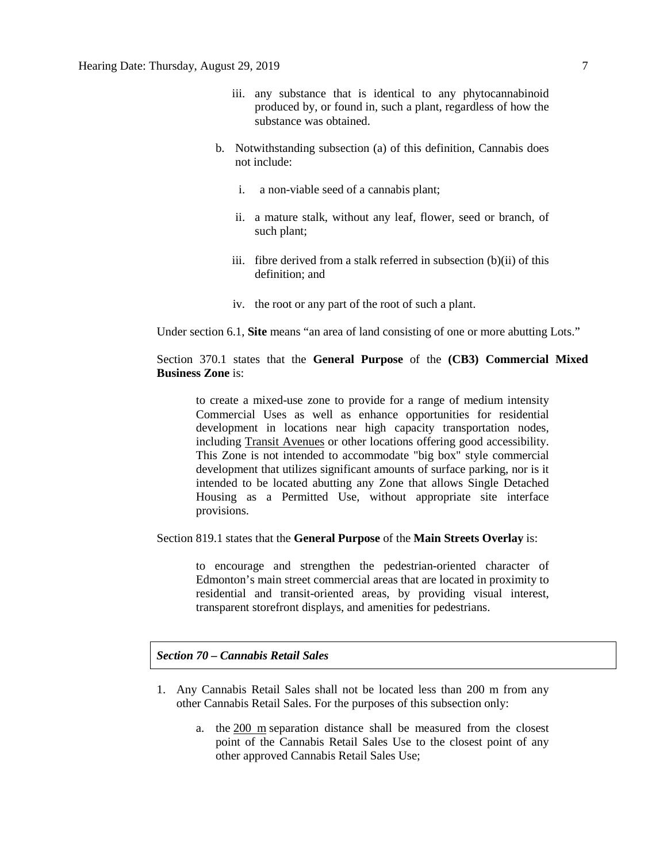- iii. any substance that is identical to any phytocannabinoid produced by, or found in, such a plant, regardless of how the substance was obtained.
- b. Notwithstanding subsection (a) of this definition, Cannabis does not include:
	- i. a non-viable seed of a cannabis plant;
	- ii. a mature stalk, without any leaf, flower, seed or branch, of such plant;
	- iii. fibre derived from a stalk referred in subsection (b)(ii) of this definition; and
	- iv. the root or any part of the root of such a plant.

Under section 6.1, **Site** means "an area of land consisting of one or more abutting Lots."

# Section 370.1 states that the **General Purpose** of the **(CB3) Commercial Mixed Business Zone** is:

to create a mixed-use zone to provide for a range of medium intensity Commercial Uses as well as enhance opportunities for residential development in locations near high capacity transportation nodes, including Transit Avenues or other locations offering good accessibility. This Zone is not intended to accommodate "big box" style commercial development that utilizes significant amounts of surface parking, nor is it intended to be located abutting any Zone that allows Single Detached Housing as a Permitted Use, without appropriate site interface provisions.

Section 819.1 states that the **General Purpose** of the **Main Streets Overlay** is:

to encourage and strengthen the pedestrian-oriented character of Edmonton's main street commercial areas that are located in proximity to residential and transit-oriented areas, by providing visual interest, transparent storefront displays, and amenities for pedestrians.

*Section 70 – Cannabis Retail Sales* 

- 1. Any Cannabis Retail Sales shall not be located less than 200 m from any other Cannabis Retail Sales. For the purposes of this subsection only:
	- a. the [200 m](javascript:void(0);) separation distance shall be measured from the closest point of the Cannabis Retail Sales Use to the closest point of any other approved Cannabis Retail Sales Use;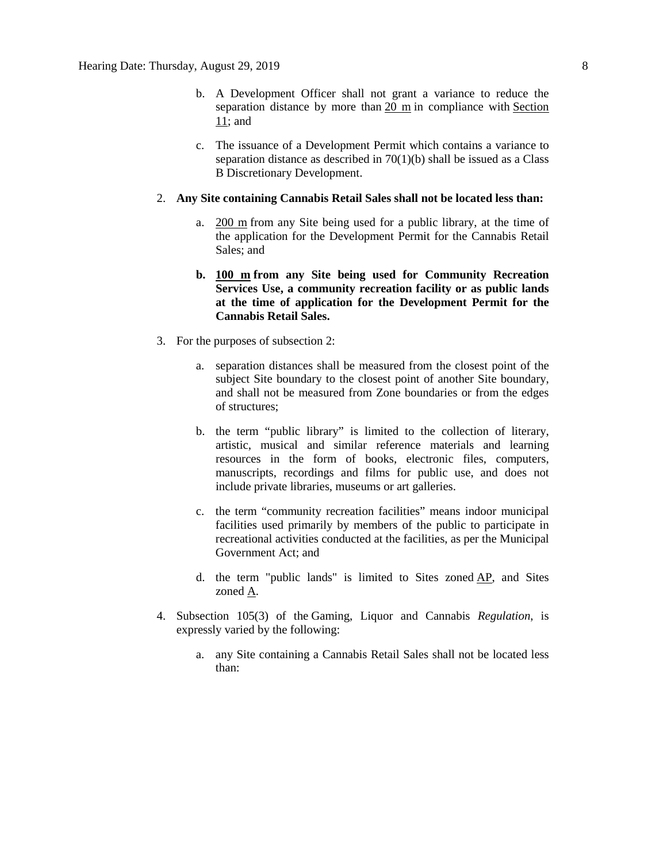- b. A Development Officer shall not grant a variance to reduce the separation distance by more than  $20 \text{ m}$  in compliance with Section [11;](https://webdocs.edmonton.ca/InfraPlan/zoningbylaw/ZoningBylaw/Part1/Administrative/11__Authority_and_Responsibility_of_the_Development_Officer.htm) and
- c. The issuance of a Development Permit which contains a variance to separation distance as described in  $70(1)(b)$  shall be issued as a Class B Discretionary Development.

### 2. **Any Site containing Cannabis Retail Sales shall not be located less than:**

- a. [200 m](javascript:void(0);) from any Site being used for a public library, at the time of the application for the Development Permit for the Cannabis Retail Sales; and
- **b. [100 m](javascript:void(0);) from any Site being used for Community Recreation Services Use, a community recreation facility or as public lands at the time of application for the Development Permit for the Cannabis Retail Sales.**
- 3. For the purposes of subsection 2:
	- a. separation distances shall be measured from the closest point of the subject Site boundary to the closest point of another Site boundary, and shall not be measured from Zone boundaries or from the edges of structures;
	- b. the term "public library" is limited to the collection of literary, artistic, musical and similar reference materials and learning resources in the form of books, electronic files, computers, manuscripts, recordings and films for public use, and does not include private libraries, museums or art galleries.
	- c. the term "community recreation facilities" means indoor municipal facilities used primarily by members of the public to participate in recreational activities conducted at the facilities, as per the Municipal Government Act; and
	- d. the term "public lands" is limited to Sites zoned [AP,](https://webdocs.edmonton.ca/InfraPlan/zoningbylaw/ZoningBylaw/Part2/Urban/530_(AP)_Public_Parks_Zone.htm) and Sites zoned [A.](https://webdocs.edmonton.ca/InfraPlan/zoningbylaw/ZoningBylaw/Part2/Urban/540_(A)_Metropolitan_Recreation_Zone.htm)
- 4. Subsection 105(3) of the Gaming, Liquor and Cannabis *Regulation*, is expressly varied by the following:
	- a. any Site containing a Cannabis Retail Sales shall not be located less than: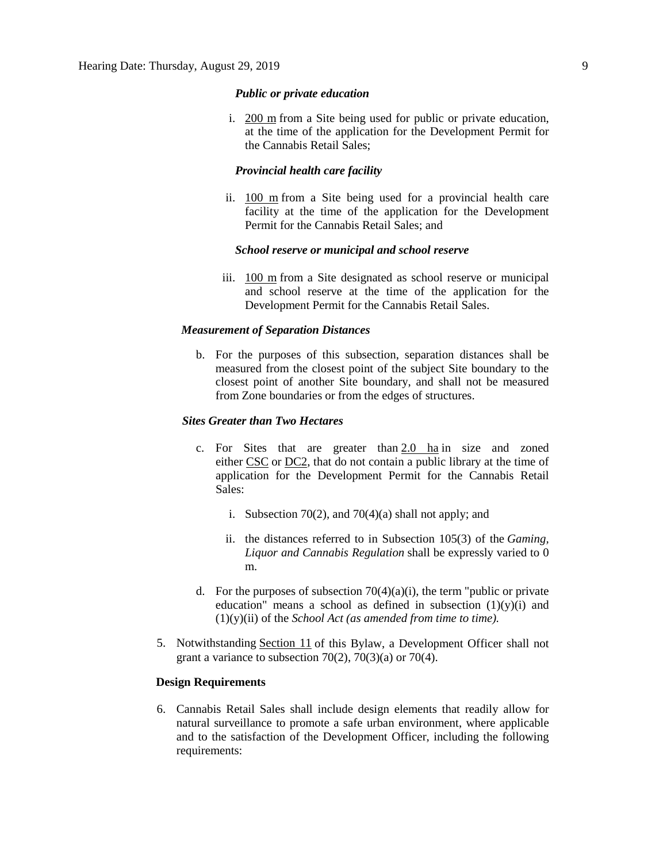# *Public or private education*

i. [200 m](javascript:void(0);) from a Site being used for public or private education, at the time of the application for the Development Permit for the Cannabis Retail Sales;

# *Provincial health care facility*

ii. [100 m](javascript:void(0);) from a Site being used for a provincial health care facility at the time of the application for the Development Permit for the Cannabis Retail Sales; and

## *School reserve or municipal and school reserve*

iii. [100 m](javascript:void(0);) from a Site designated as school reserve or municipal and school reserve at the time of the application for the Development Permit for the Cannabis Retail Sales.

### *Measurement of Separation Distances*

b. For the purposes of this subsection, separation distances shall be measured from the closest point of the subject Site boundary to the closest point of another Site boundary, and shall not be measured from Zone boundaries or from the edges of structures.

# *Sites Greater than Two Hectares*

- c. For Sites that are greater than  $2.0$  ha in size and zoned either [CSC](https://webdocs.edmonton.ca/InfraPlan/zoningbylaw/ZoningBylaw/Part2/Commercial/320_(CSC)_Shopping_Centre_Zone.htm) or [DC2,](https://webdocs.edmonton.ca/InfraPlan/zoningbylaw/ZoningBylaw/Part2/Direct/720_(DC2)_Site_Specific_Development_Control_Provision.htm) that do not contain a public library at the time of application for the Development Permit for the Cannabis Retail Sales:
	- i. Subsection 70(2), and 70(4)(a) shall not apply; and
	- ii. the distances referred to in Subsection 105(3) of the *Gaming, Liquor and Cannabis Regulation* shall be expressly varied to 0 m.
- d. For the purposes of subsection  $70(4)(a)(i)$ , the term "public or private education" means a school as defined in subsection  $(1)(y)(i)$  and (1)(y)(ii) of the *School Act (as amended from time to time).*
- 5. Notwithstanding [Section 11](https://webdocs.edmonton.ca/InfraPlan/zoningbylaw/ZoningBylaw/Part1/Administrative/11__Authority_and_Responsibility_of_the_Development_Officer.htm) of this Bylaw, a Development Officer shall not grant a variance to subsection  $70(2)$ ,  $70(3)(a)$  or  $70(4)$ .

## **Design Requirements**

6. Cannabis Retail Sales shall include design elements that readily allow for natural surveillance to promote a safe urban environment, where applicable and to the satisfaction of the Development Officer, including the following requirements: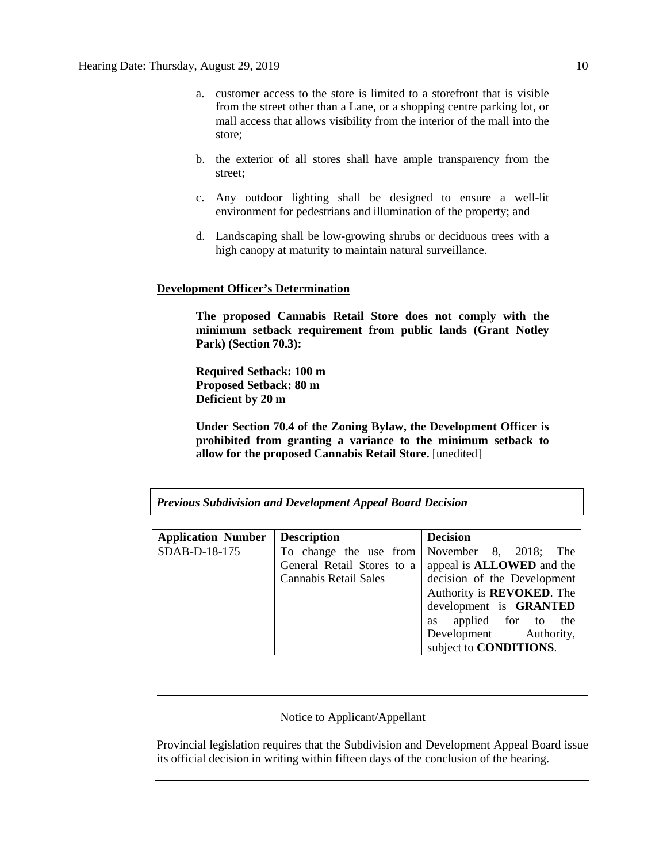- a. customer access to the store is limited to a storefront that is visible from the street other than a Lane, or a shopping centre parking lot, or mall access that allows visibility from the interior of the mall into the store;
- b. the exterior of all stores shall have ample transparency from the street;
- c. Any outdoor lighting shall be designed to ensure a well-lit environment for pedestrians and illumination of the property; and
- d. Landscaping shall be low-growing shrubs or deciduous trees with a high canopy at maturity to maintain natural surveillance.

# **Development Officer's Determination**

**The proposed Cannabis Retail Store does not comply with the minimum setback requirement from public lands (Grant Notley Park) (Section 70.3):**

**Required Setback: 100 m Proposed Setback: 80 m Deficient by 20 m**

**Under Section 70.4 of the Zoning Bylaw, the Development Officer is prohibited from granting a variance to the minimum setback to allow for the proposed Cannabis Retail Store.** [unedited]

*Previous Subdivision and Development Appeal Board Decision*

| <b>Application Number</b> | <b>Description</b>                       | <b>Decision</b>                   |
|---------------------------|------------------------------------------|-----------------------------------|
| SDAB-D-18-175             | To change the use from November 8, 2018; | The                               |
|                           | General Retail Stores to a               | appeal is <b>ALLOWED</b> and the  |
|                           | <b>Cannabis Retail Sales</b>             | decision of the Development       |
|                           |                                          | Authority is <b>REVOKED</b> . The |
|                           |                                          | development is GRANTED            |
|                           |                                          | as applied for to the             |
|                           |                                          | Development Authority,            |
|                           |                                          | subject to <b>CONDITIONS</b> .    |

# Notice to Applicant/Appellant

Provincial legislation requires that the Subdivision and Development Appeal Board issue its official decision in writing within fifteen days of the conclusion of the hearing.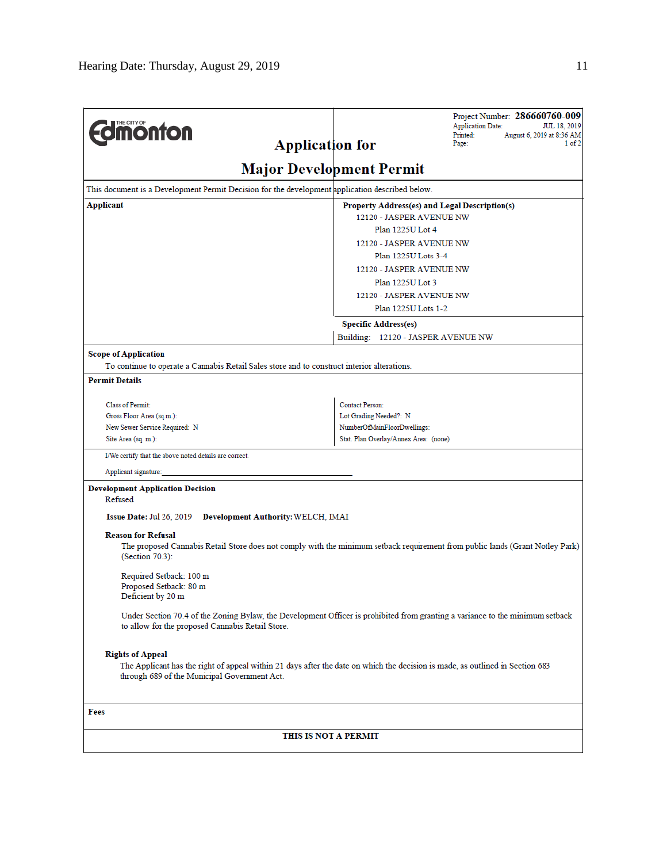| <b>Umönton</b><br><b>Application for</b>                                                                             | Project Number: 286660760-009<br><b>Application Date:</b><br><b>JUL 18, 2019</b><br>Printed:<br>August 6, 2019 at 8:36 AM<br>1 of 2<br>Page: |  |  |  |
|----------------------------------------------------------------------------------------------------------------------|----------------------------------------------------------------------------------------------------------------------------------------------|--|--|--|
|                                                                                                                      | <b>Major Development Permit</b>                                                                                                              |  |  |  |
| This document is a Development Permit Decision for the development application described below.                      |                                                                                                                                              |  |  |  |
| Applicant                                                                                                            | Property Address(es) and Legal Description(s)                                                                                                |  |  |  |
|                                                                                                                      | 12120 - JASPER AVENUE NW<br>Plan 1225U Lot 4                                                                                                 |  |  |  |
|                                                                                                                      | 12120 - JASPER AVENUE NW                                                                                                                     |  |  |  |
|                                                                                                                      | Plan 1225U Lots 3-4                                                                                                                          |  |  |  |
|                                                                                                                      | 12120 - JASPER AVENUE NW                                                                                                                     |  |  |  |
| Plan 1225U Lot 3                                                                                                     |                                                                                                                                              |  |  |  |
|                                                                                                                      | 12120 - JASPER AVENUE NW                                                                                                                     |  |  |  |
|                                                                                                                      | Plan 1225U Lots 1-2                                                                                                                          |  |  |  |
|                                                                                                                      | <b>Specific Address(es)</b>                                                                                                                  |  |  |  |
|                                                                                                                      | Building: 12120 - JASPER AVENUE NW                                                                                                           |  |  |  |
| <b>Scope of Application</b>                                                                                          |                                                                                                                                              |  |  |  |
| To continue to operate a Cannabis Retail Sales store and to construct interior alterations.<br><b>Permit Details</b> |                                                                                                                                              |  |  |  |
|                                                                                                                      |                                                                                                                                              |  |  |  |
| Class of Permit:                                                                                                     | Contact Person:                                                                                                                              |  |  |  |
| Gross Floor Area (sq.m.):                                                                                            | Lot Grading Needed?: N                                                                                                                       |  |  |  |
| New Sewer Service Required: N<br>Site Area (sq. m.):                                                                 | NumberOfMainFloorDwellings:<br>Stat. Plan Overlay/Annex Area: (none)                                                                         |  |  |  |
| I/We certify that the above noted details are correct.                                                               |                                                                                                                                              |  |  |  |
| Applicant signature:                                                                                                 |                                                                                                                                              |  |  |  |
| <b>Development Application Decision</b>                                                                              |                                                                                                                                              |  |  |  |
| Refused                                                                                                              |                                                                                                                                              |  |  |  |
| Issue Date: Jul 26, 2019<br><b>Development Authority: WELCH, IMAI</b>                                                |                                                                                                                                              |  |  |  |
| <b>Reason for Refusal</b><br>(Section 70.3):                                                                         | The proposed Cannabis Retail Store does not comply with the minimum setback requirement from public lands (Grant Notley Park)                |  |  |  |
| Required Setback: 100 m<br>Proposed Setback: 80 m<br>Deficient by 20 m                                               |                                                                                                                                              |  |  |  |
| to allow for the proposed Cannabis Retail Store.                                                                     | Under Section 70.4 of the Zoning Bylaw, the Development Officer is prohibited from granting a variance to the minimum setback                |  |  |  |
| <b>Rights of Appeal</b><br>through 689 of the Municipal Government Act.                                              | The Applicant has the right of appeal within 21 days after the date on which the decision is made, as outlined in Section 683                |  |  |  |
| Fees                                                                                                                 |                                                                                                                                              |  |  |  |
| THIS IS NOT A PERMIT                                                                                                 |                                                                                                                                              |  |  |  |
|                                                                                                                      |                                                                                                                                              |  |  |  |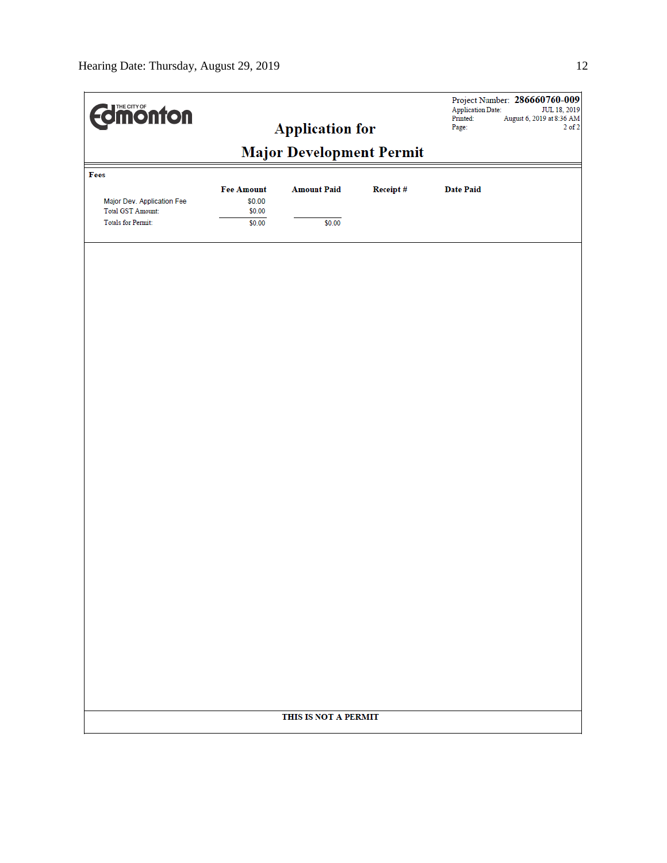| <b>dimonton</b>                                                                     |                                 | <b>Application for</b> |          | <b>Application Date:</b><br>Printed:<br>Page: | Project Number: 286660760-009<br>JUL 18, 2019<br>August 6, 2019 at 8:36 AM<br>$2$ of $2$ |
|-------------------------------------------------------------------------------------|---------------------------------|------------------------|----------|-----------------------------------------------|------------------------------------------------------------------------------------------|
|                                                                                     | <b>Major Development Permit</b> |                        |          |                                               |                                                                                          |
| Fees                                                                                | <b>Fee Amount</b>               | <b>Amount Paid</b>     | Receipt# | <b>Date Paid</b>                              |                                                                                          |
| Major Dev. Application Fee<br><b>Total GST Amount:</b><br><b>Totals for Permit:</b> | \$0.00<br>\$0.00                |                        |          |                                               |                                                                                          |
|                                                                                     | \$0.00                          | \$0.00                 |          |                                               |                                                                                          |
|                                                                                     |                                 |                        |          |                                               |                                                                                          |
|                                                                                     |                                 |                        |          |                                               |                                                                                          |
|                                                                                     |                                 |                        |          |                                               |                                                                                          |
|                                                                                     |                                 |                        |          |                                               |                                                                                          |
|                                                                                     |                                 |                        |          |                                               |                                                                                          |
|                                                                                     |                                 |                        |          |                                               |                                                                                          |
|                                                                                     |                                 |                        |          |                                               |                                                                                          |
|                                                                                     |                                 |                        |          |                                               |                                                                                          |
|                                                                                     |                                 |                        |          |                                               |                                                                                          |
|                                                                                     |                                 |                        |          |                                               |                                                                                          |
|                                                                                     |                                 |                        |          |                                               |                                                                                          |
|                                                                                     |                                 |                        |          |                                               |                                                                                          |
|                                                                                     |                                 |                        |          |                                               |                                                                                          |
|                                                                                     |                                 |                        |          |                                               |                                                                                          |
|                                                                                     |                                 |                        |          |                                               |                                                                                          |
|                                                                                     |                                 |                        |          |                                               |                                                                                          |
|                                                                                     |                                 | THIS IS NOT A PERMIT   |          |                                               |                                                                                          |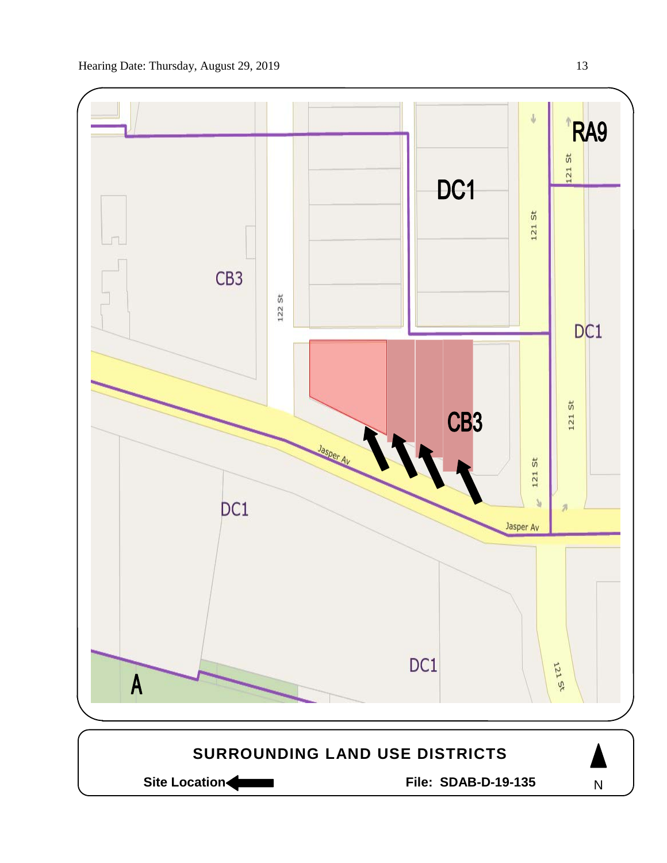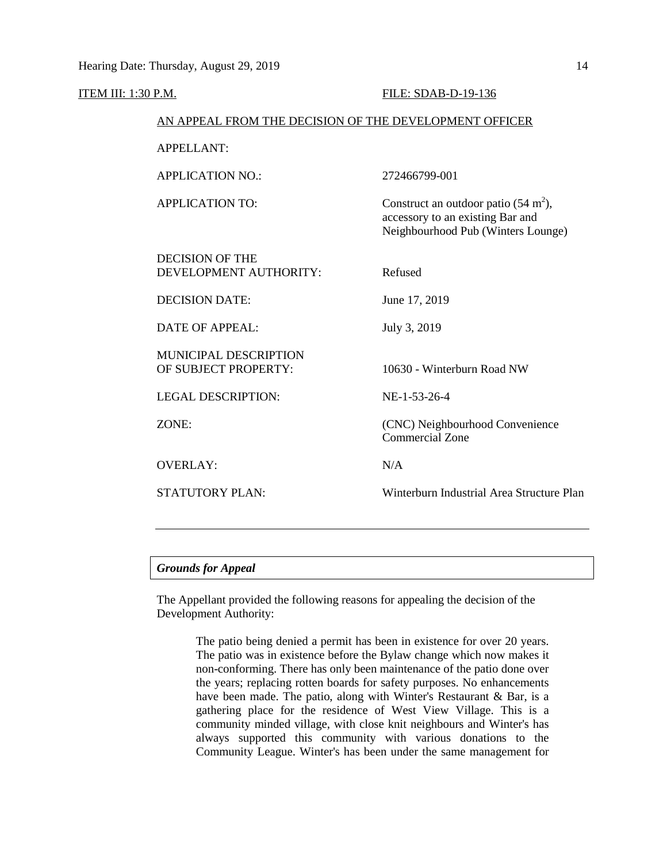### ITEM III: 1:30 P.M. FILE: SDAB-D-19-136

## AN APPEAL FROM THE DECISION OF THE DEVELOPMENT OFFICER

APPELLANT:

APPLICATION NO.: 272466799-001 APPLICATION TO: Construct an outdoor patio  $(54 \text{ m}^2)$ , accessory to an existing Bar and Neighbourhood Pub (Winters Lounge) DECISION OF THE DEVELOPMENT AUTHORITY: Refused DECISION DATE: June 17, 2019 DATE OF APPEAL: July 3, 2019 MUNICIPAL DESCRIPTION OF SUBJECT PROPERTY: 10630 - Winterburn Road NW LEGAL DESCRIPTION: NE-1-53-26-4 ZONE: (CNC) Neighbourhood Convenience Commercial Zone OVERLAY: N/A STATUTORY PLAN: Winterburn Industrial Area Structure Plan

# *Grounds for Appeal*

The Appellant provided the following reasons for appealing the decision of the Development Authority:

> The patio being denied a permit has been in existence for over 20 years. The patio was in existence before the Bylaw change which now makes it non-conforming. There has only been maintenance of the patio done over the years; replacing rotten boards for safety purposes. No enhancements have been made. The patio, along with Winter's Restaurant & Bar, is a gathering place for the residence of West View Village. This is a community minded village, with close knit neighbours and Winter's has always supported this community with various donations to the Community League. Winter's has been under the same management for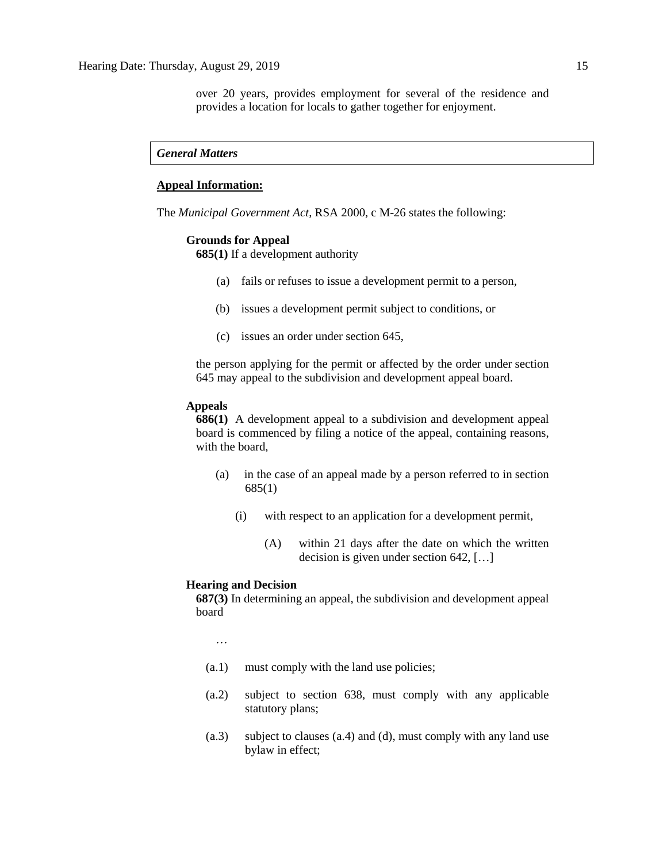over 20 years, provides employment for several of the residence and provides a location for locals to gather together for enjoyment.

## *General Matters*

# **Appeal Information:**

The *Municipal Government Act*, RSA 2000, c M-26 states the following:

### **Grounds for Appeal**

**685(1)** If a development authority

- (a) fails or refuses to issue a development permit to a person,
- (b) issues a development permit subject to conditions, or
- (c) issues an order under section 645,

the person applying for the permit or affected by the order under section 645 may appeal to the subdivision and development appeal board.

### **Appeals**

**686(1)** A development appeal to a subdivision and development appeal board is commenced by filing a notice of the appeal, containing reasons, with the board,

- (a) in the case of an appeal made by a person referred to in section 685(1)
	- (i) with respect to an application for a development permit,
		- (A) within 21 days after the date on which the written decision is given under section 642, […]

## **Hearing and Decision**

**687(3)** In determining an appeal, the subdivision and development appeal board

…

- (a.1) must comply with the land use policies;
- (a.2) subject to section 638, must comply with any applicable statutory plans;
- (a.3) subject to clauses (a.4) and (d), must comply with any land use bylaw in effect;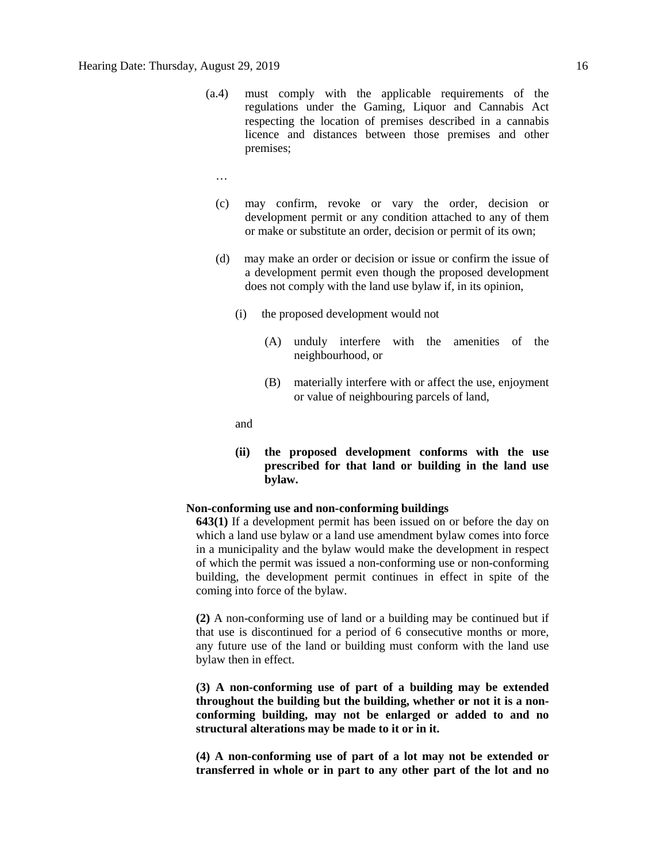- (a.4) must comply with the applicable requirements of the regulations under the Gaming, Liquor and Cannabis Act respecting the location of premises described in a cannabis licence and distances between those premises and other premises;
	- …
	- (c) may confirm, revoke or vary the order, decision or development permit or any condition attached to any of them or make or substitute an order, decision or permit of its own;
	- (d) may make an order or decision or issue or confirm the issue of a development permit even though the proposed development does not comply with the land use bylaw if, in its opinion,
		- (i) the proposed development would not
			- (A) unduly interfere with the amenities of the neighbourhood, or
			- (B) materially interfere with or affect the use, enjoyment or value of neighbouring parcels of land,

and

**(ii) the proposed development conforms with the use prescribed for that land or building in the land use bylaw.**

# **Non-conforming use and non-conforming buildings**

**643(1)** If a development permit has been issued on or before the day on which a land use bylaw or a land use amendment bylaw comes into force in a municipality and the bylaw would make the development in respect of which the permit was issued a non-conforming use or non-conforming building, the development permit continues in effect in spite of the coming into force of the bylaw.

**(2)** A non-conforming use of land or a building may be continued but if that use is discontinued for a period of 6 consecutive months or more, any future use of the land or building must conform with the land use bylaw then in effect.

**(3) A non-conforming use of part of a building may be extended throughout the building but the building, whether or not it is a nonconforming building, may not be enlarged or added to and no structural alterations may be made to it or in it.** 

**(4) A non-conforming use of part of a lot may not be extended or transferred in whole or in part to any other part of the lot and no**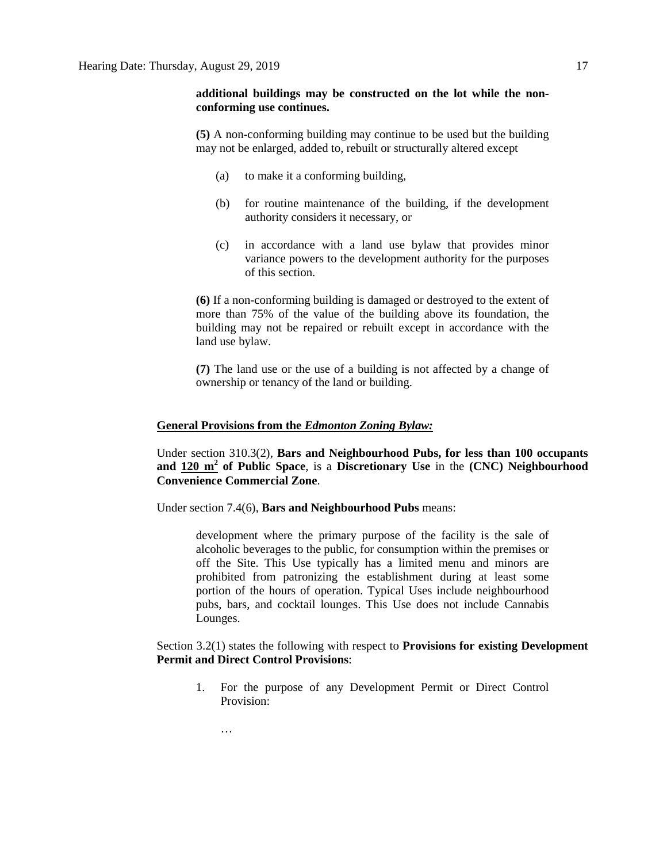# **additional buildings may be constructed on the lot while the nonconforming use continues.**

**(5)** A non-conforming building may continue to be used but the building may not be enlarged, added to, rebuilt or structurally altered except

- (a) to make it a conforming building,
- (b) for routine maintenance of the building, if the development authority considers it necessary, or
- (c) in accordance with a land use bylaw that provides minor variance powers to the development authority for the purposes of this section.

**(6)** If a non-conforming building is damaged or destroyed to the extent of more than 75% of the value of the building above its foundation, the building may not be repaired or rebuilt except in accordance with the land use bylaw.

**(7)** The land use or the use of a building is not affected by a change of ownership or tenancy of the land or building.

## **General Provisions from the** *Edmonton Zoning Bylaw:*

Under section 310.3(2), **Bars and Neighbourhood Pubs, for less than 100 occupants and 120 m<sup>2</sup> of Public Space**, is a **Discretionary Use** in the **(CNC) Neighbourhood Convenience Commercial Zone**.

Under section 7.4(6), **Bars and Neighbourhood Pubs** means:

development where the primary purpose of the facility is the sale of alcoholic beverages to the public, for consumption within the premises or off the Site. This Use typically has a limited menu and minors are prohibited from patronizing the establishment during at least some portion of the hours of operation. Typical Uses include neighbourhood pubs, bars, and cocktail lounges. This Use does not include Cannabis Lounges.

# Section 3.2(1) states the following with respect to **Provisions for existing Development Permit and Direct Control Provisions**:

- 1. For the purpose of any Development Permit or Direct Control Provision:
	- …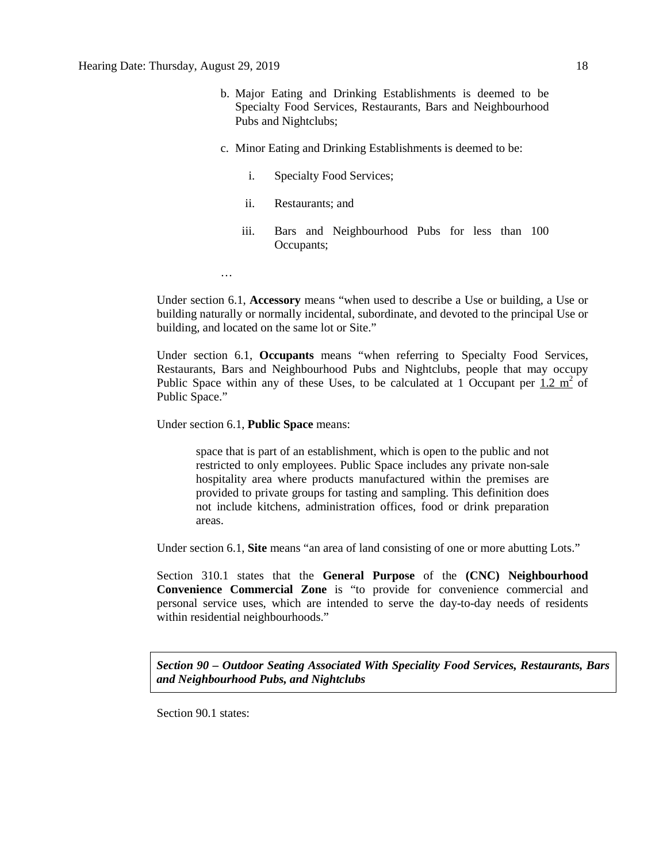- b. Major Eating and Drinking Establishments is deemed to be Specialty Food Services, Restaurants, Bars and Neighbourhood Pubs and Nightclubs;
- c. Minor Eating and Drinking Establishments is deemed to be:
	- i. Specialty Food Services;
	- ii. Restaurants; and
	- iii. Bars and Neighbourhood Pubs for less than 100 Occupants;

Under section 6.1, **Accessory** means "when used to describe a Use or building, a Use or building naturally or normally incidental, subordinate, and devoted to the principal Use or building, and located on the same lot or Site."

Under section 6.1, **Occupants** means "when referring to Specialty Food Services, Restaurants, Bars and Neighbourhood Pubs and Nightclubs, people that may occupy Public Space within any of these Uses, to be calculated at 1 Occupant per  $1.2 \text{ m}^2$  of Public Space."

Under section 6.1, **Public Space** means:

…

space that is part of an establishment, which is open to the public and not restricted to only employees. Public Space includes any private non-sale hospitality area where products manufactured within the premises are provided to private groups for tasting and sampling. This definition does not include kitchens, administration offices, food or drink preparation areas.

Under section 6.1, **Site** means "an area of land consisting of one or more abutting Lots."

Section 310.1 states that the **General Purpose** of the **(CNC) Neighbourhood Convenience Commercial Zone** is "to provide for convenience commercial and personal service uses, which are intended to serve the day-to-day needs of residents within residential neighbourhoods."

*Section 90 – Outdoor Seating Associated With Speciality Food Services, Restaurants, Bars and Neighbourhood Pubs, and Nightclubs*

Section 90.1 states: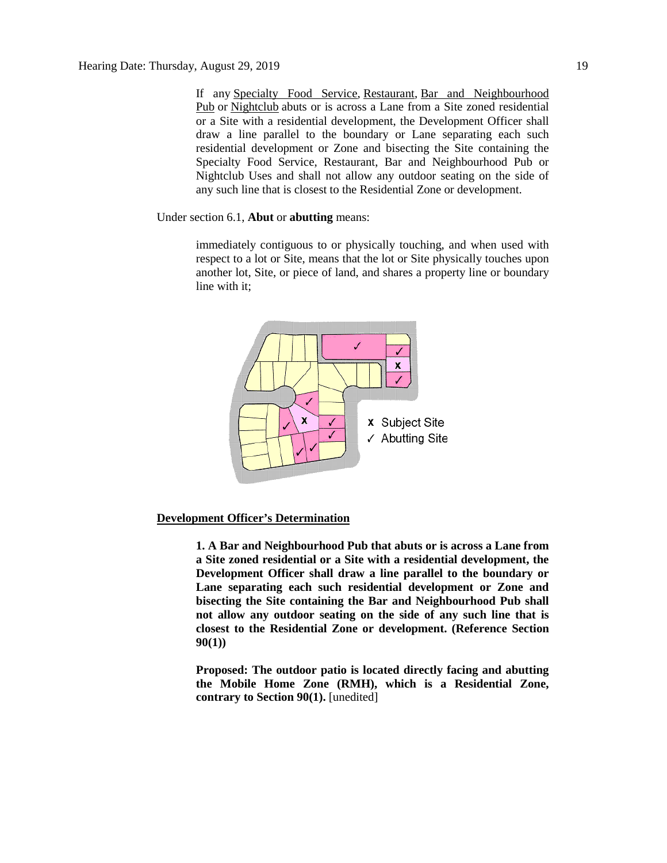If any [Specialty Food Service,](javascript:void(0);) [Restaurant,](javascript:void(0);) [Bar and Neighbourhood](javascript:void(0);)  [Pub](javascript:void(0);) or [Nightclub](javascript:void(0);) abuts or is across a Lane from a Site zoned residential or a Site with a residential development, the Development Officer shall draw a line parallel to the boundary or Lane separating each such residential development or Zone and bisecting the Site containing the Specialty Food Service, Restaurant, Bar and Neighbourhood Pub or Nightclub Uses and shall not allow any outdoor seating on the side of any such line that is closest to the Residential Zone or development.

Under section 6.1, **Abut** or **abutting** means:

immediately contiguous to or physically touching, and when used with respect to a lot or Site, means that the lot or Site physically touches upon another lot, Site, or piece of land, and shares a property line or boundary line with it;



# **Development Officer's Determination**

**1. A Bar and Neighbourhood Pub that abuts or is across a Lane from a Site zoned residential or a Site with a residential development, the Development Officer shall draw a line parallel to the boundary or Lane separating each such residential development or Zone and bisecting the Site containing the Bar and Neighbourhood Pub shall not allow any outdoor seating on the side of any such line that is closest to the Residential Zone or development. (Reference Section 90(1))**

**Proposed: The outdoor patio is located directly facing and abutting the Mobile Home Zone (RMH), which is a Residential Zone, contrary to Section 90(1).** [unedited]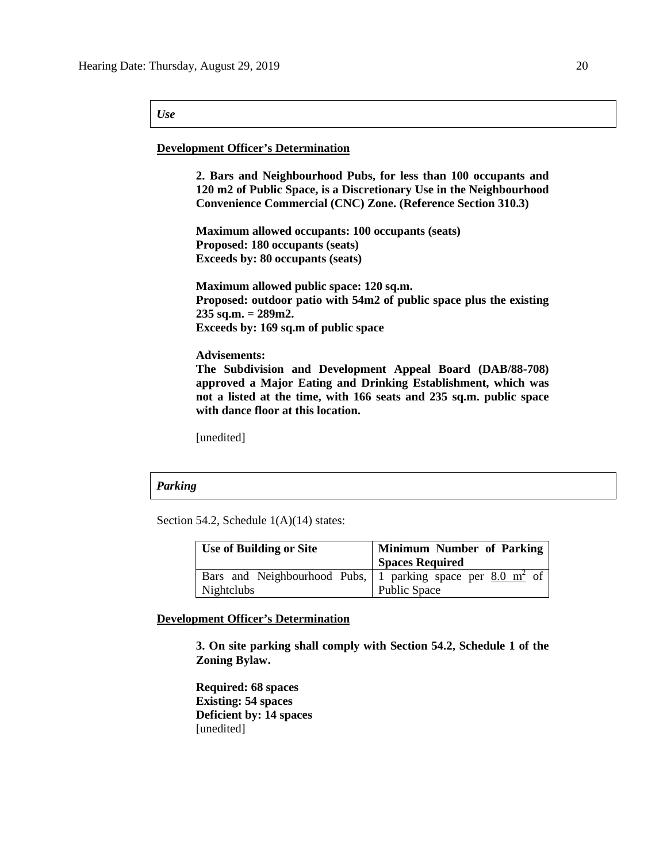### *Use*

### **Development Officer's Determination**

**2. Bars and Neighbourhood Pubs, for less than 100 occupants and 120 m2 of Public Space, is a Discretionary Use in the Neighbourhood Convenience Commercial (CNC) Zone. (Reference Section 310.3)** 

**Maximum allowed occupants: 100 occupants (seats) Proposed: 180 occupants (seats) Exceeds by: 80 occupants (seats)**

**Maximum allowed public space: 120 sq.m. Proposed: outdoor patio with 54m2 of public space plus the existing 235 sq.m. = 289m2. Exceeds by: 169 sq.m of public space**

**Advisements:** 

**The Subdivision and Development Appeal Board (DAB/88-708) approved a Major Eating and Drinking Establishment, which was not a listed at the time, with 166 seats and 235 sq.m. public space with dance floor at this location.**

[unedited]

### *Parking*

Section 54.2, Schedule 1(A)(14) states:

| <b>Use of Building or Site</b> | <b>Minimum Number of Parking</b>                                      |
|--------------------------------|-----------------------------------------------------------------------|
|                                | <b>Spaces Required</b>                                                |
|                                | Bars and Neighbourhood Pubs, 1 parking space per $8.0 \text{ m}^2$ of |
| Nightclubs                     | Public Space                                                          |

## **Development Officer's Determination**

**3. On site parking shall comply with Section 54.2, Schedule 1 of the Zoning Bylaw.** 

**Required: 68 spaces Existing: 54 spaces Deficient by: 14 spaces** [unedited]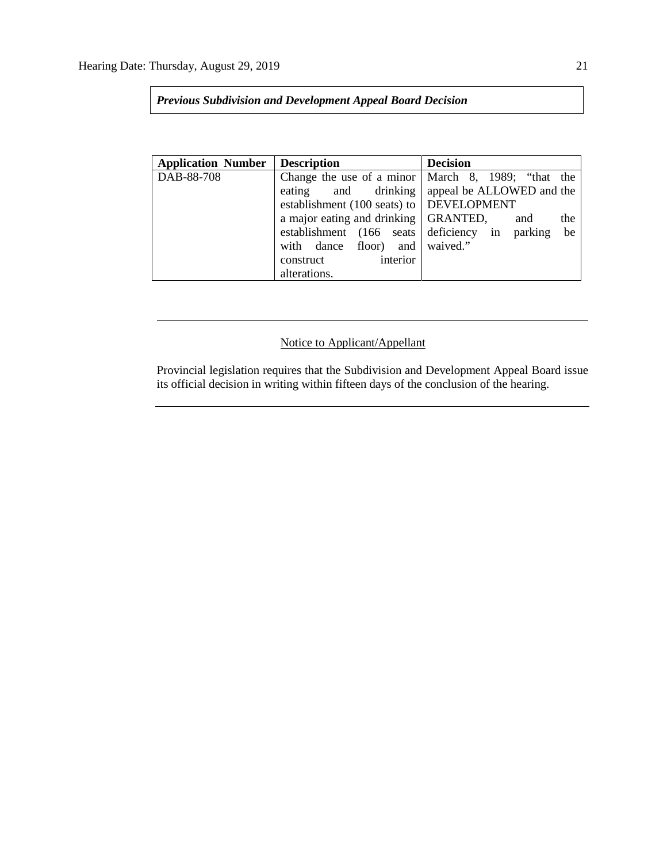*Previous Subdivision and Development Appeal Board Decision*

| <b>Application Number</b> | <b>Description</b>                       | <b>Decision</b>                                      |
|---------------------------|------------------------------------------|------------------------------------------------------|
| DAB-88-708                |                                          | Change the use of a minor   March 8, 1989; "that the |
|                           | and drinking<br>eating                   | appeal be ALLOWED and the                            |
|                           | establishment (100 seats) to DEVELOPMENT |                                                      |
|                           | a major eating and drinking              | GRANTED,<br>the<br>and                               |
|                           | establishment (166 seats deficiency in   | be<br>parking                                        |
|                           | with dance floor)<br>and                 | waived."                                             |
|                           | interior<br>construct                    |                                                      |
|                           | alterations.                             |                                                      |

# Notice to Applicant/Appellant

Provincial legislation requires that the Subdivision and Development Appeal Board issue its official decision in writing within fifteen days of the conclusion of the hearing.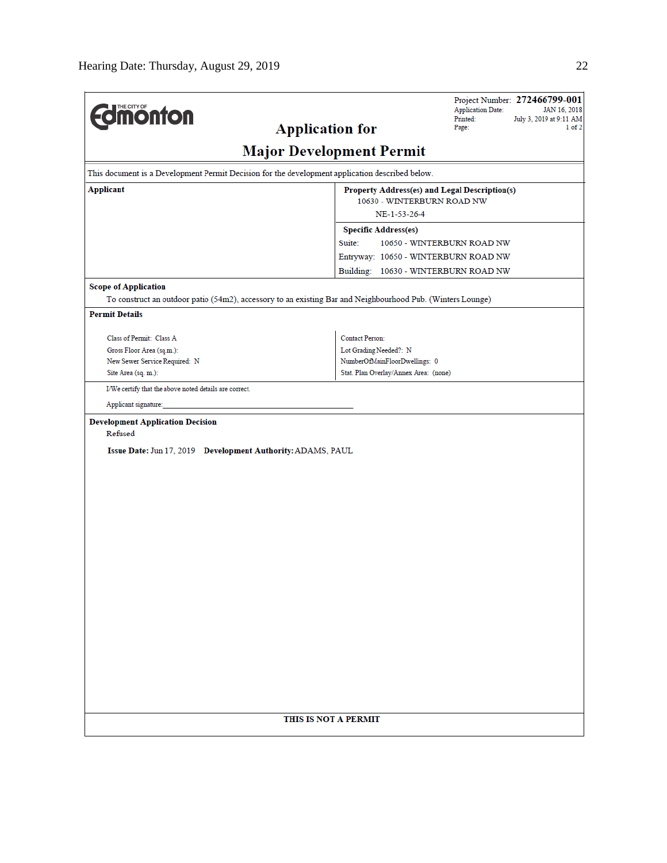| <b>Formonton</b>                                                                                           |                                               | <b>Application Date:</b><br>Printed:<br>Page: | Project Number: 272466799-001<br>JAN 16, 2018<br>July 3, 2019 at 9:11 AM<br>$1$ of $2$ |
|------------------------------------------------------------------------------------------------------------|-----------------------------------------------|-----------------------------------------------|----------------------------------------------------------------------------------------|
| <b>Application for</b>                                                                                     | <b>Major Development Permit</b>               |                                               |                                                                                        |
| This document is a Development Permit Decision for the development application described below.            |                                               |                                               |                                                                                        |
| <b>Applicant</b>                                                                                           | Property Address(es) and Legal Description(s) |                                               |                                                                                        |
|                                                                                                            | 10630 - WINTERBURN ROAD NW                    |                                               |                                                                                        |
|                                                                                                            | NE-1-53-26-4                                  |                                               |                                                                                        |
|                                                                                                            | <b>Specific Address(es)</b>                   |                                               |                                                                                        |
|                                                                                                            | Suite:<br>10650 - WINTERBURN ROAD NW          |                                               |                                                                                        |
|                                                                                                            | Entryway: 10650 - WINTERBURN ROAD NW          |                                               |                                                                                        |
|                                                                                                            | Building: 10630 - WINTERBURN ROAD NW          |                                               |                                                                                        |
| <b>Scope of Application</b>                                                                                |                                               |                                               |                                                                                        |
| To construct an outdoor patio (54m2), accessory to an existing Bar and Neighbourhood Pub. (Winters Lounge) |                                               |                                               |                                                                                        |
| <b>Permit Details</b>                                                                                      |                                               |                                               |                                                                                        |
| Class of Permit: Class A                                                                                   | <b>Contact Person:</b>                        |                                               |                                                                                        |
| Gross Floor Area (sq.m.):                                                                                  | Lot Grading Needed?: N                        |                                               |                                                                                        |
| New Sewer Service Required: N                                                                              | NumberOfMainFloorDwellings: 0                 |                                               |                                                                                        |
| Site Area (sq. m.):                                                                                        | Stat. Plan Overlay/Annex Area: (none)         |                                               |                                                                                        |
| I/We certify that the above noted details are correct.                                                     |                                               |                                               |                                                                                        |
| Applicant signature:                                                                                       |                                               |                                               |                                                                                        |
| <b>Development Application Decision</b>                                                                    |                                               |                                               |                                                                                        |
| Refused                                                                                                    |                                               |                                               |                                                                                        |
| Issue Date: Jun 17, 2019 Development Authority: ADAMS, PAUL                                                |                                               |                                               |                                                                                        |
|                                                                                                            |                                               |                                               |                                                                                        |
|                                                                                                            |                                               |                                               |                                                                                        |
|                                                                                                            |                                               |                                               |                                                                                        |
|                                                                                                            |                                               |                                               |                                                                                        |
|                                                                                                            |                                               |                                               |                                                                                        |
|                                                                                                            |                                               |                                               |                                                                                        |
|                                                                                                            |                                               |                                               |                                                                                        |
|                                                                                                            |                                               |                                               |                                                                                        |
|                                                                                                            |                                               |                                               |                                                                                        |
|                                                                                                            |                                               |                                               |                                                                                        |
|                                                                                                            |                                               |                                               |                                                                                        |
|                                                                                                            |                                               |                                               |                                                                                        |
|                                                                                                            |                                               |                                               |                                                                                        |
|                                                                                                            |                                               |                                               |                                                                                        |
|                                                                                                            |                                               |                                               |                                                                                        |
|                                                                                                            |                                               |                                               |                                                                                        |
|                                                                                                            |                                               |                                               |                                                                                        |
| THIS IS NOT A PERMIT                                                                                       |                                               |                                               |                                                                                        |
|                                                                                                            |                                               |                                               |                                                                                        |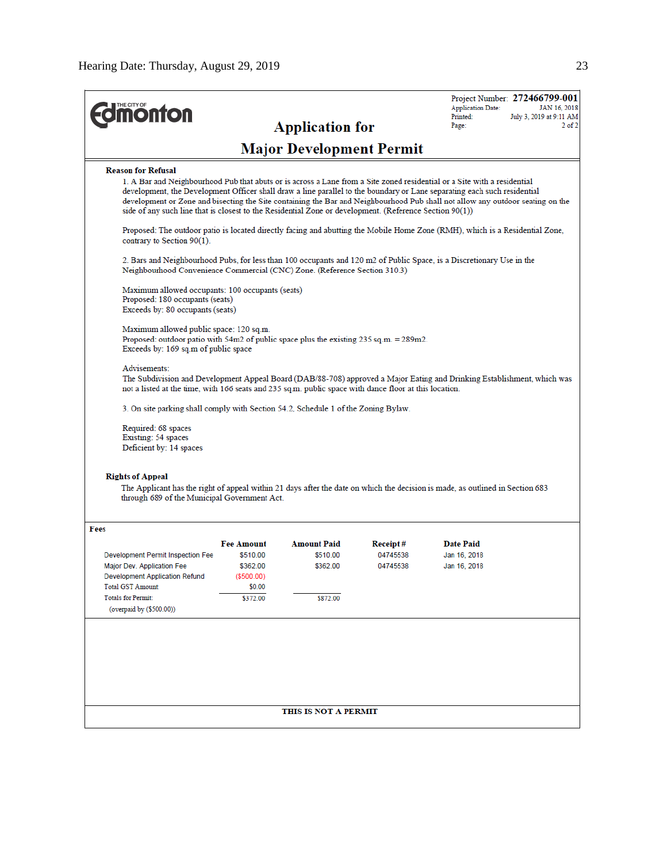| <b>dimonton</b>                                                                                                                                                                |                                   | <b>Application for</b>          |                       | Project Number: 272466799-001<br><b>Application Date:</b><br>JAN 16, 2018<br>Printed:<br>July 3, 2019 at 9:11 AM<br>Page:                                                                                                                                                                                                                                                              |
|--------------------------------------------------------------------------------------------------------------------------------------------------------------------------------|-----------------------------------|---------------------------------|-----------------------|----------------------------------------------------------------------------------------------------------------------------------------------------------------------------------------------------------------------------------------------------------------------------------------------------------------------------------------------------------------------------------------|
|                                                                                                                                                                                |                                   | <b>Major Development Permit</b> |                       |                                                                                                                                                                                                                                                                                                                                                                                        |
| <b>Reason for Refusal</b><br>side of any such line that is closest to the Residential Zone or development. (Reference Section 90(1))                                           |                                   |                                 |                       | 1. A Bar and Neighbourhood Pub that abuts or is across a Lane from a Site zoned residential or a Site with a residential<br>development, the Development Officer shall draw a line parallel to the boundary or Lane separating each such residential<br>development or Zone and bisecting the Site containing the Bar and Neighbourhood Pub shall not allow any outdoor seating on the |
| contrary to Section 90(1).                                                                                                                                                     |                                   |                                 |                       | Proposed: The outdoor patio is located directly facing and abutting the Mobile Home Zone (RMH), which is a Residential Zone,                                                                                                                                                                                                                                                           |
| Neighbourhood Convenience Commercial (CNC) Zone. (Reference Section 310.3)                                                                                                     |                                   |                                 |                       | 2. Bars and Neighbourhood Pubs, for less than 100 occupants and 120 m2 of Public Space, is a Discretionary Use in the                                                                                                                                                                                                                                                                  |
| Maximum allowed occupants: 100 occupants (seats)<br>Proposed: 180 occupants (seats)<br>Exceeds by: 80 occupants (seats)                                                        |                                   |                                 |                       |                                                                                                                                                                                                                                                                                                                                                                                        |
| Maximum allowed public space: 120 sq.m.<br>Proposed: outdoor patio with 54m2 of public space plus the existing $235$ sq.m. = $289$ m2.<br>Exceeds by: 169 sq.m of public space |                                   |                                 |                       |                                                                                                                                                                                                                                                                                                                                                                                        |
| Advisements:<br>not a listed at the time, with 166 seats and 235 sq.m. public space with dance floor at this location.                                                         |                                   |                                 |                       | The Subdivision and Development Appeal Board (DAB/88-708) approved a Major Eating and Drinking Establishment, which was                                                                                                                                                                                                                                                                |
| 3. On site parking shall comply with Section 54.2, Schedule 1 of the Zoning Bylaw.<br>Required: 68 spaces<br>Existing: 54 spaces<br>Deficient by: 14 spaces                    |                                   |                                 |                       |                                                                                                                                                                                                                                                                                                                                                                                        |
| <b>Rights of Appeal</b><br>through 689 of the Municipal Government Act.                                                                                                        |                                   |                                 |                       | The Applicant has the right of appeal within 21 days after the date on which the decision is made, as outlined in Section 683                                                                                                                                                                                                                                                          |
| Fees<br>Development Permit Inspection Fee                                                                                                                                      | <b>Fee Amount</b><br>\$510.00     | <b>Amount Paid</b><br>\$510.00  | Receipt #<br>04745538 | <b>Date Paid</b><br>Jan 16, 2018                                                                                                                                                                                                                                                                                                                                                       |
| Major Dev. Application Fee<br>Development Application Refund<br><b>Total GST Amount:</b>                                                                                       | \$362.00<br>( \$500.00)<br>\$0.00 | \$362.00                        | 04745538              | Jan 16, 2018                                                                                                                                                                                                                                                                                                                                                                           |
| <b>Totals for Permit:</b><br>(overpaid by (\$500.00))                                                                                                                          | \$372.00                          | \$872.00                        |                       |                                                                                                                                                                                                                                                                                                                                                                                        |
|                                                                                                                                                                                |                                   |                                 |                       |                                                                                                                                                                                                                                                                                                                                                                                        |
|                                                                                                                                                                                |                                   |                                 |                       |                                                                                                                                                                                                                                                                                                                                                                                        |
|                                                                                                                                                                                |                                   |                                 |                       |                                                                                                                                                                                                                                                                                                                                                                                        |
|                                                                                                                                                                                |                                   | THIS IS NOT A PERMIT            |                       |                                                                                                                                                                                                                                                                                                                                                                                        |